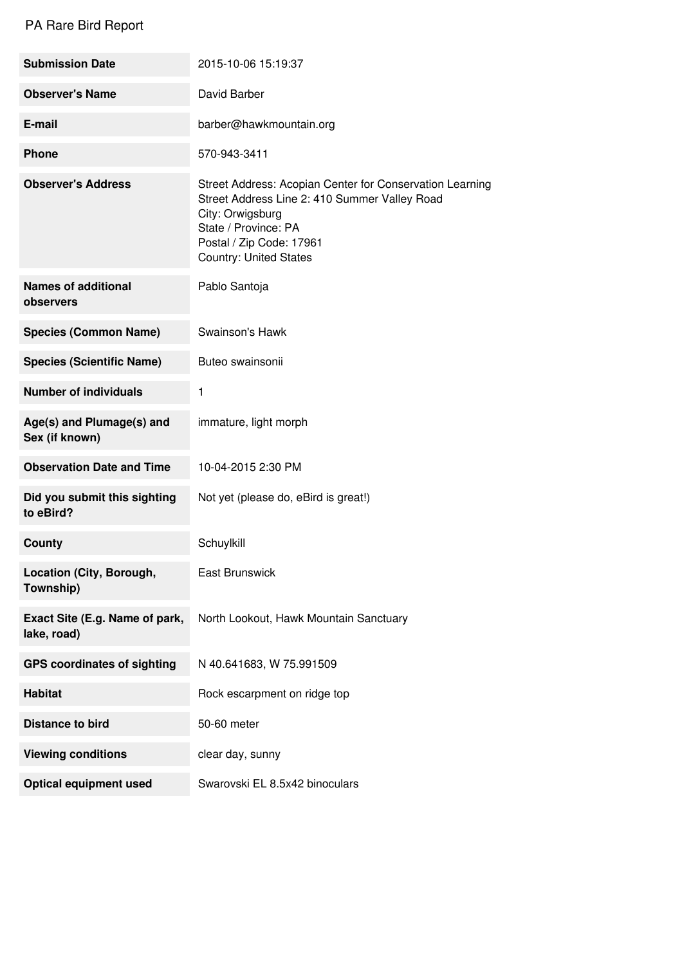## PA Rare Bird Report

| <b>Submission Date</b>                        | 2015-10-06 15:19:37                                                                                                                                                                                                |
|-----------------------------------------------|--------------------------------------------------------------------------------------------------------------------------------------------------------------------------------------------------------------------|
| <b>Observer's Name</b>                        | David Barber                                                                                                                                                                                                       |
| E-mail                                        | barber@hawkmountain.org                                                                                                                                                                                            |
| <b>Phone</b>                                  | 570-943-3411                                                                                                                                                                                                       |
| <b>Observer's Address</b>                     | Street Address: Acopian Center for Conservation Learning<br>Street Address Line 2: 410 Summer Valley Road<br>City: Orwigsburg<br>State / Province: PA<br>Postal / Zip Code: 17961<br><b>Country: United States</b> |
| <b>Names of additional</b><br>observers       | Pablo Santoja                                                                                                                                                                                                      |
| <b>Species (Common Name)</b>                  | Swainson's Hawk                                                                                                                                                                                                    |
| <b>Species (Scientific Name)</b>              | Buteo swainsonii                                                                                                                                                                                                   |
| <b>Number of individuals</b>                  | 1                                                                                                                                                                                                                  |
| Age(s) and Plumage(s) and<br>Sex (if known)   | immature, light morph                                                                                                                                                                                              |
| <b>Observation Date and Time</b>              | 10-04-2015 2:30 PM                                                                                                                                                                                                 |
| Did you submit this sighting<br>to eBird?     | Not yet (please do, eBird is great!)                                                                                                                                                                               |
| County                                        | Schuylkill                                                                                                                                                                                                         |
| Location (City, Borough,<br>Township)         | <b>East Brunswick</b>                                                                                                                                                                                              |
| Exact Site (E.g. Name of park,<br>lake, road) | North Lookout, Hawk Mountain Sanctuary                                                                                                                                                                             |
| <b>GPS coordinates of sighting</b>            | N 40.641683, W 75.991509                                                                                                                                                                                           |
| <b>Habitat</b>                                | Rock escarpment on ridge top                                                                                                                                                                                       |
| <b>Distance to bird</b>                       | 50-60 meter                                                                                                                                                                                                        |
| <b>Viewing conditions</b>                     | clear day, sunny                                                                                                                                                                                                   |
| <b>Optical equipment used</b>                 | Swarovski EL 8.5x42 binoculars                                                                                                                                                                                     |